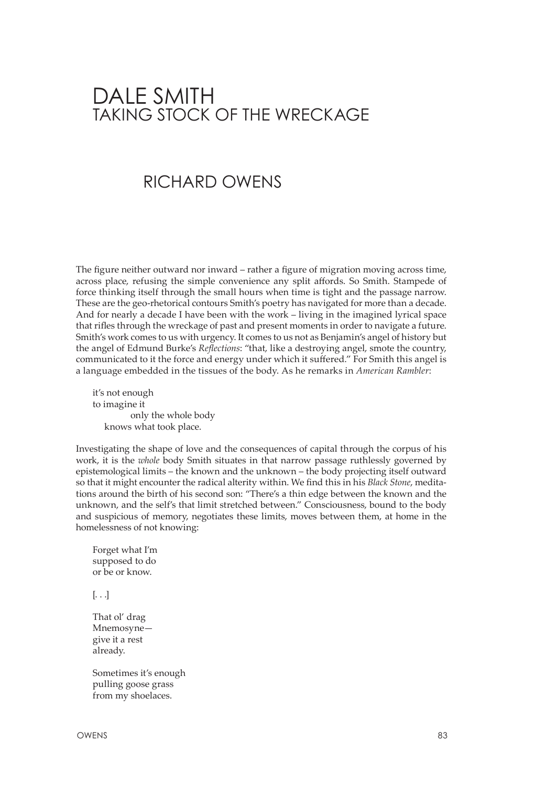## DALE SMITH TAKING STOCK OF THE WRECKAGE

## RichARD OWENS

The figure neither outward nor inward – rather a figure of migration moving across time, across place, refusing the simple convenience any split affords. So Smith. Stampede of force thinking itself through the small hours when time is tight and the passage narrow. These are the geo-rhetorical contours Smith's poetry has navigated for more than a decade. And for nearly a decade I have been with the work – living in the imagined lyrical space that rifles through the wreckage of past and present moments in order to navigate a future. Smith's work comes to us with urgency. It comes to us not as Benjamin's angel of history but the angel of Edmund Burke's *Reflections*: "that, like a destroying angel, smote the country, communicated to it the force and energy under which it suffered." For Smith this angel is a language embedded in the tissues of the body. As he remarks in *American Rambler*:

it's not enough to imagine it only the whole body knows what took place.

Investigating the shape of love and the consequences of capital through the corpus of his work, it is the *whole* body Smith situates in that narrow passage ruthlessly governed by epistemological limits – the known and the unknown – the body projecting itself outward so that it might encounter the radical alterity within. We find this in his *Black Stone*, meditations around the birth of his second son: "There's a thin edge between the known and the unknown, and the self's that limit stretched between." Consciousness, bound to the body and suspicious of memory, negotiates these limits, moves between them, at home in the homelessness of not knowing:

Forget what I'm supposed to do or be or know.

[. . .]

That ol' drag Mnemosyne give it a rest already.

Sometimes it's enough pulling goose grass from my shoelaces.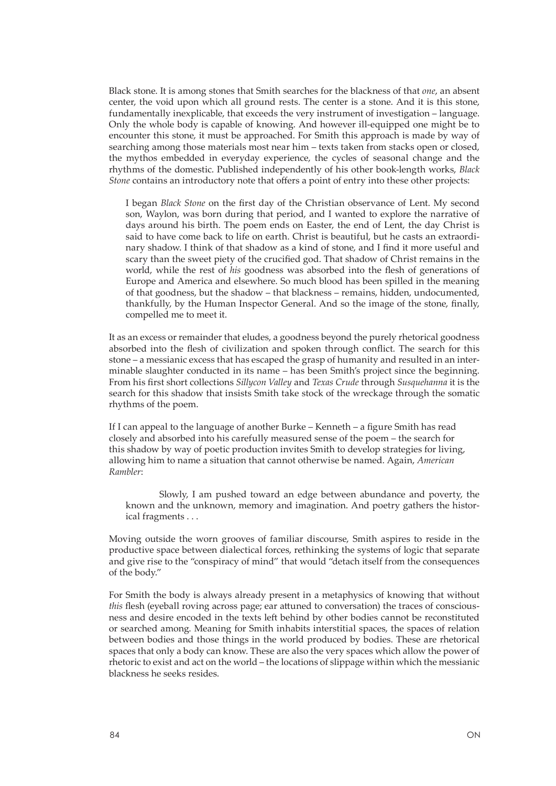Black stone. It is among stones that Smith searches for the blackness of that *one*, an absent center, the void upon which all ground rests. The center is a stone. And it is this stone, fundamentally inexplicable, that exceeds the very instrument of investigation – language. Only the whole body is capable of knowing. And however ill-equipped one might be to encounter this stone, it must be approached. For Smith this approach is made by way of searching among those materials most near him – texts taken from stacks open or closed, the mythos embedded in everyday experience, the cycles of seasonal change and the rhythms of the domestic. Published independently of his other book-length works, *Black Stone* contains an introductory note that offers a point of entry into these other projects:

I began *Black Stone* on the first day of the Christian observance of Lent. My second son, Waylon, was born during that period, and I wanted to explore the narrative of days around his birth. The poem ends on Easter, the end of Lent, the day Christ is said to have come back to life on earth. Christ is beautiful, but he casts an extraordinary shadow. I think of that shadow as a kind of stone, and I find it more useful and scary than the sweet piety of the crucified god. That shadow of Christ remains in the world, while the rest of *his* goodness was absorbed into the flesh of generations of Europe and America and elsewhere. So much blood has been spilled in the meaning of that goodness, but the shadow – that blackness – remains, hidden, undocumented, thankfully, by the Human Inspector General. And so the image of the stone, finally, compelled me to meet it.

It as an excess or remainder that eludes, a goodness beyond the purely rhetorical goodness absorbed into the flesh of civilization and spoken through conflict. The search for this stone – a messianic excess that has escaped the grasp of humanity and resulted in an interminable slaughter conducted in its name – has been Smith's project since the beginning. From his first short collections *Sillycon Valley* and *Texas Crude* through *Susquehanna* it is the search for this shadow that insists Smith take stock of the wreckage through the somatic rhythms of the poem.

If I can appeal to the language of another Burke – Kenneth – a figure Smith has read closely and absorbed into his carefully measured sense of the poem – the search for this shadow by way of poetic production invites Smith to develop strategies for living, allowing him to name a situation that cannot otherwise be named. Again, *American Rambler*:

Slowly, I am pushed toward an edge between abundance and poverty, the known and the unknown, memory and imagination. And poetry gathers the historical fragments . . .

Moving outside the worn grooves of familiar discourse, Smith aspires to reside in the productive space between dialectical forces, rethinking the systems of logic that separate and give rise to the "conspiracy of mind" that would "detach itself from the consequences of the body."

For Smith the body is always already present in a metaphysics of knowing that without *this* flesh (eyeball roving across page; ear attuned to conversation) the traces of consciousness and desire encoded in the texts left behind by other bodies cannot be reconstituted or searched among. Meaning for Smith inhabits interstitial spaces, the spaces of relation between bodies and those things in the world produced by bodies. These are rhetorical spaces that only a body can know. These are also the very spaces which allow the power of rhetoric to exist and act on the world – the locations of slippage within which the messianic blackness he seeks resides.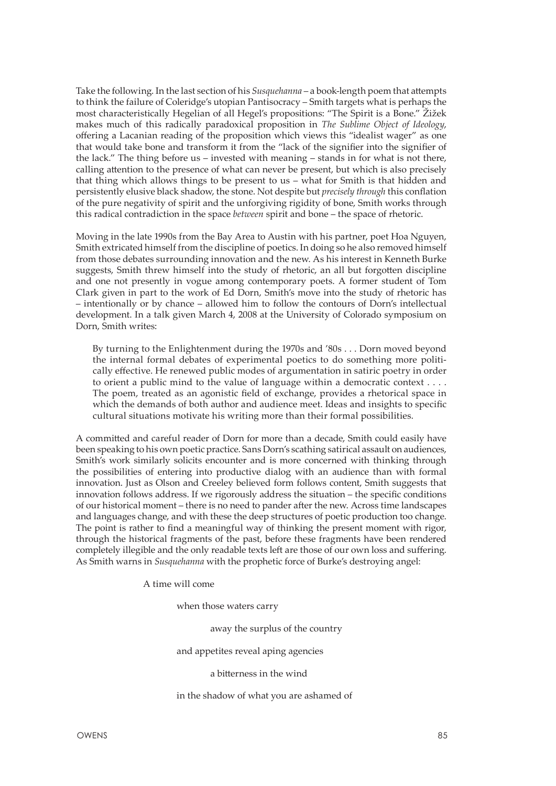Take the following. In the last section of his *Susquehanna* – a book-length poem that attempts to think the failure of Coleridge's utopian Pantisocracy – Smith targets what is perhaps the most characteristically Hegelian of all Hegel's propositions: "The Spirit is a Bone." Žižek makes much of this radically paradoxical proposition in *The Sublime Object of Ideology*, offering a Lacanian reading of the proposition which views this "idealist wager" as one that would take bone and transform it from the "lack of the signifier into the signifier of the lack." The thing before us – invested with meaning – stands in for what is not there, calling attention to the presence of what can never be present, but which is also precisely that thing which allows things to be present to us – what for Smith is that hidden and persistently elusive black shadow, the stone. Not despite but *precisely through* this conflation of the pure negativity of spirit and the unforgiving rigidity of bone, Smith works through this radical contradiction in the space *between* spirit and bone – the space of rhetoric.

Moving in the late 1990s from the Bay Area to Austin with his partner, poet Hoa Nguyen, Smith extricated himself from the discipline of poetics. In doing so he also removed himself from those debates surrounding innovation and the new. As his interest in Kenneth Burke suggests, Smith threw himself into the study of rhetoric, an all but forgotten discipline and one not presently in vogue among contemporary poets. A former student of Tom Clark given in part to the work of Ed Dorn, Smith's move into the study of rhetoric has – intentionally or by chance – allowed him to follow the contours of Dorn's intellectual development. In a talk given March 4, 2008 at the University of Colorado symposium on Dorn, Smith writes:

By turning to the Enlightenment during the 1970s and '80s . . . Dorn moved beyond the internal formal debates of experimental poetics to do something more politically effective. He renewed public modes of argumentation in satiric poetry in order to orient a public mind to the value of language within a democratic context  $\dots$ . The poem, treated as an agonistic field of exchange, provides a rhetorical space in which the demands of both author and audience meet. Ideas and insights to specific cultural situations motivate his writing more than their formal possibilities.

A committed and careful reader of Dorn for more than a decade, Smith could easily have been speaking to his own poetic practice. Sans Dorn's scathing satirical assault on audiences, Smith's work similarly solicits encounter and is more concerned with thinking through the possibilities of entering into productive dialog with an audience than with formal innovation. Just as Olson and Creeley believed form follows content, Smith suggests that innovation follows address. If we rigorously address the situation – the specific conditions of our historical moment – there is no need to pander after the new. Across time landscapes and languages change, and with these the deep structures of poetic production too change. The point is rather to find a meaningful way of thinking the present moment with rigor, through the historical fragments of the past, before these fragments have been rendered completely illegible and the only readable texts left are those of our own loss and suffering. As Smith warns in *Susquehanna* with the prophetic force of Burke's destroying angel:

A time will come

when those waters carry

away the surplus of the country

and appetites reveal aping agencies

a bitterness in the wind

in the shadow of what you are ashamed of